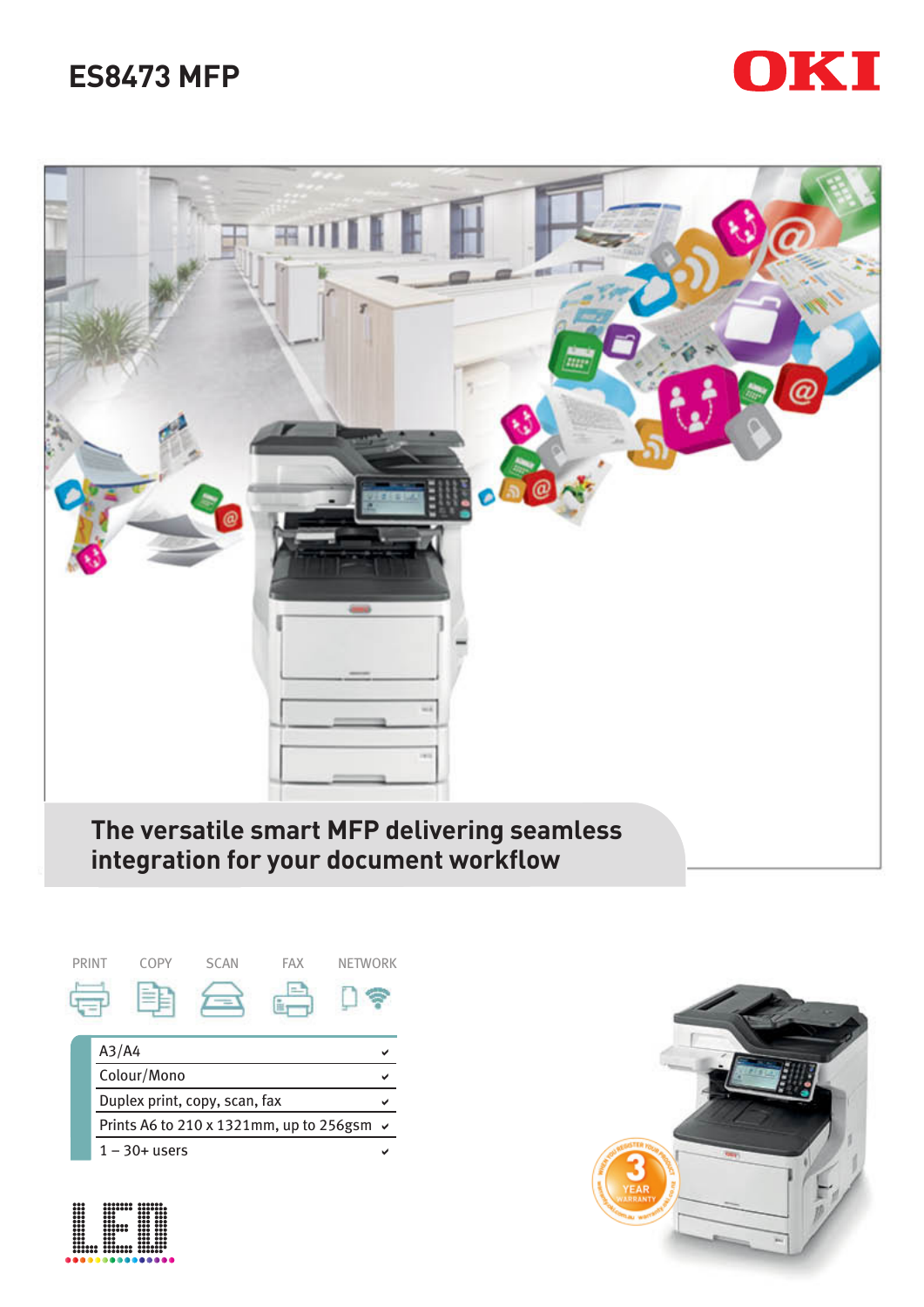# **ES8473 MFP**





**integration for your document workflow**





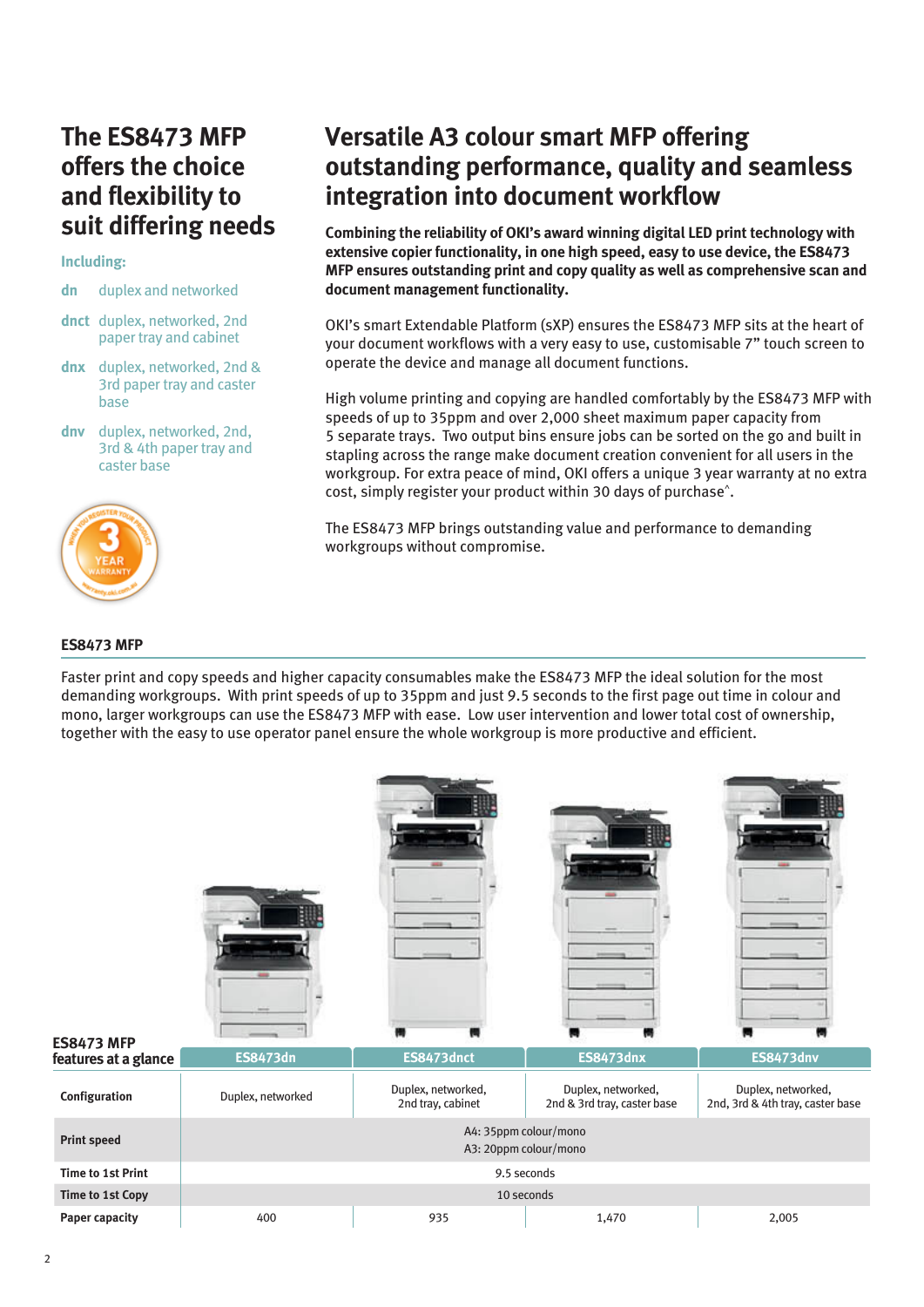# **The ES8473 MFP offers the choice and flexibility to suit differing needs**

### **Including:**

- **dn** duplex and networked
- **dnct** duplex, networked, 2nd paper tray and cabinet
- **dnx** duplex, networked, 2nd & 3rd paper tray and caster base
- **dnv** duplex, networked, 2nd, 3rd & 4th paper tray and caster base



# **ES8473 MFP**

# **Versatile A3 colour smart MFP offering outstanding performance, quality and seamless integration into document workflow**

**Combining the reliability of OKI's award winning digital LED print technology with extensive copier functionality, in one high speed, easy to use device, the ES8473 MFP ensures outstanding print and copy quality as well as comprehensive scan and document management functionality.**

OKI's smart Extendable Platform (sXP) ensures the ES8473 MFP sits at the heart of your document workflows with a very easy to use, customisable 7" touch screen to operate the device and manage all document functions.

High volume printing and copying are handled comfortably by the ES8473 MFP with speeds of up to 35ppm and over 2,000 sheet maximum paper capacity from 5 separate trays. Two output bins ensure jobs can be sorted on the go and built in stapling across the range make document creation convenient for all users in the workgroup. For extra peace of mind, OKI offers a unique 3 year warranty at no extra cost, simply register your product within 30 days of purchase^.

The ES8473 MFP brings outstanding value and performance to demanding workgroups without compromise.

Faster print and copy speeds and higher capacity consumables make the ES8473 MFP the ideal solution for the most demanding workgroups. With print speeds of up to 35ppm and just 9.5 seconds to the first page out time in colour and mono, larger workgroups can use the ES8473 MFP with ease. Low user intervention and lower total cost of ownership, together with the easy to use operator panel ensure the whole workgroup is more productive and efficient.

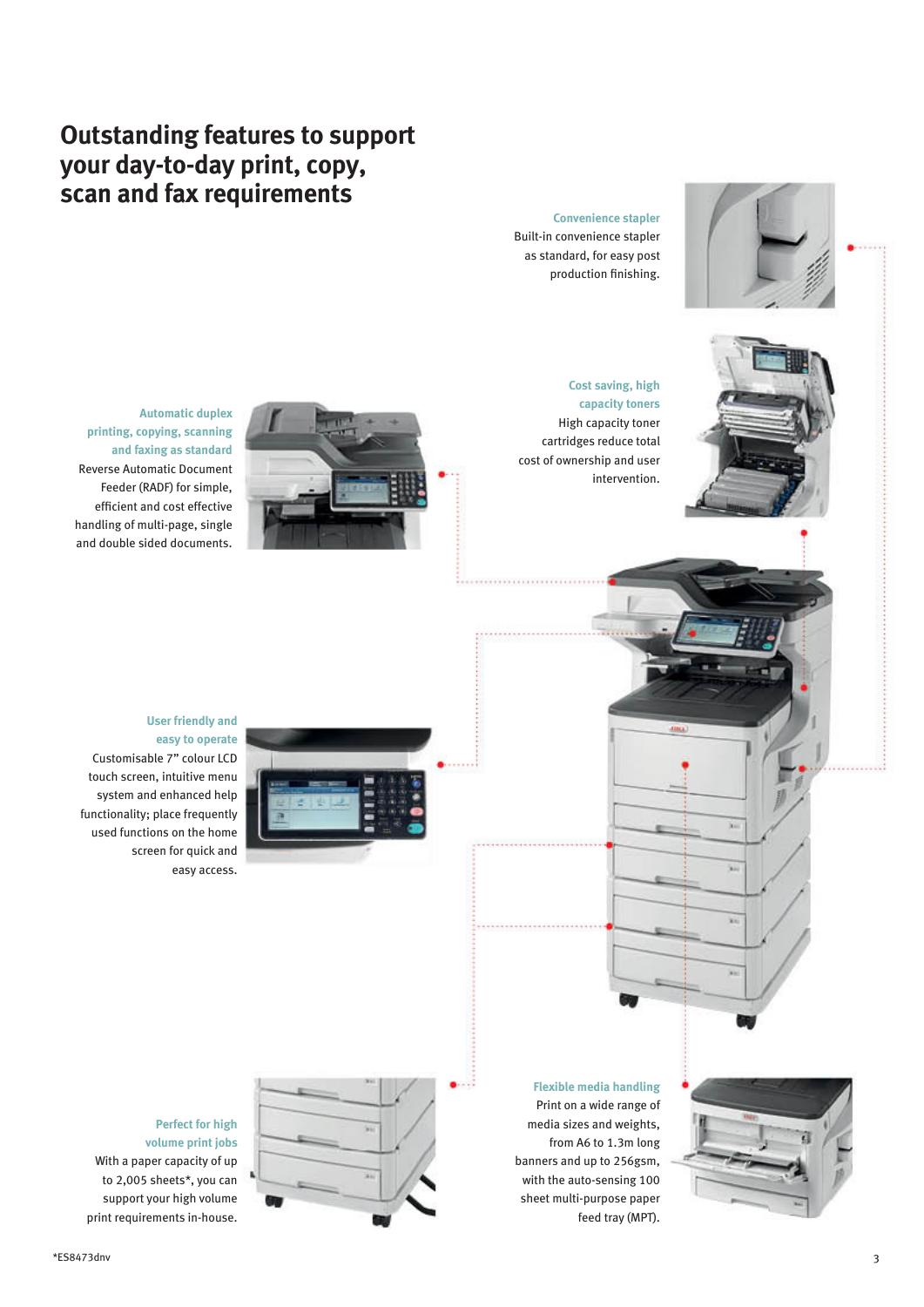# **Outstanding features to support your day-to-day print, copy, scan and fax requirements**

#### **Convenience stapler**

Built-in convenience stapler as standard, for easy post production finishing.





**Automatic duplex printing, copying, scanning and faxing as standard** Reverse Automatic Document Feeder (RADF) for simple, efficient and cost effective handling of multi-page, single and double sided documents.



# **User friendly and easy to operate**

Customisable 7" colour LCD touch screen, intuitive menu system and enhanced help functionality; place frequently used functions on the home screen for quick and easy access.

> **Flexible media handling** Print on a wide range of media sizes and weights, from A6 to 1.3m long banners and up to 256gsm, with the auto-sensing 100 sheet multi-purpose paper feed tray (MPT).

Ń.

S.

Yo.



### **Perfect for high volume print jobs**

 With a paper capacity of up to 2,005 sheets\*, you can support your high volume print requirements in-house.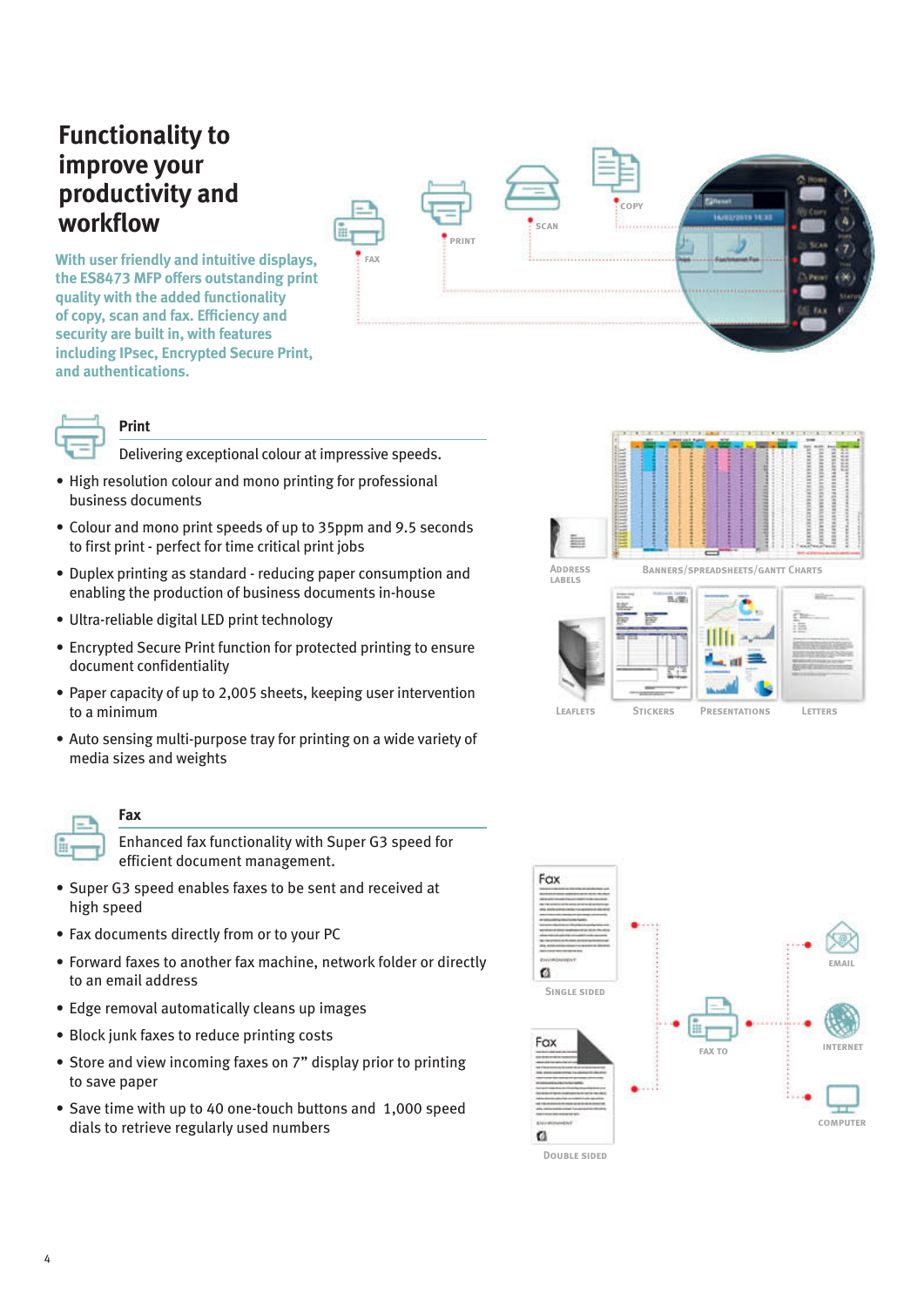# **Functionality to improve your productivity and workflow**

**With user friendly and intuitive displays, the ES8473 MFP offers outstanding print quality with the added functionality of copy, scan and fax. Efficiency and security are built in, with features including IPsec, Encrypted Secure Print, and authentications.**





# **Print**

Delivering exceptional colour at impressive speeds.

- High resolution colour and mono printing for professional business documents
- Colour and mono print speeds of up to 35ppm and 9.5 seconds to first print - perfect for time critical print jobs
- Duplex printing as standard reducing paper consumption and enabling the production of business documents in-house
- Ultra-reliable digital LED print technology
- Encrypted Secure Print function for protected printing to ensure document confidentiality
- Paper capacity of up to 2,005 sheets, keeping user intervention to a minimum
- Auto sensing multi-purpose tray for printing on a wide variety of media sizes and weights



# **Fax**

Enhanced fax functionality with Super G3 speed for efficient document management.

- Super G3 speed enables faxes to be sent and received at high speed
- Fax documents directly from or to your PC
- Forward faxes to another fax machine, network folder or directly to an email address
- Edge removal automatically cleans up images
- Block junk faxes to reduce printing costs
- Store and view incoming faxes on 7" display prior to printing to save paper
- Save time with up to 40 one-touch buttons and 1,000 speed dials to retrieve regularly used numbers



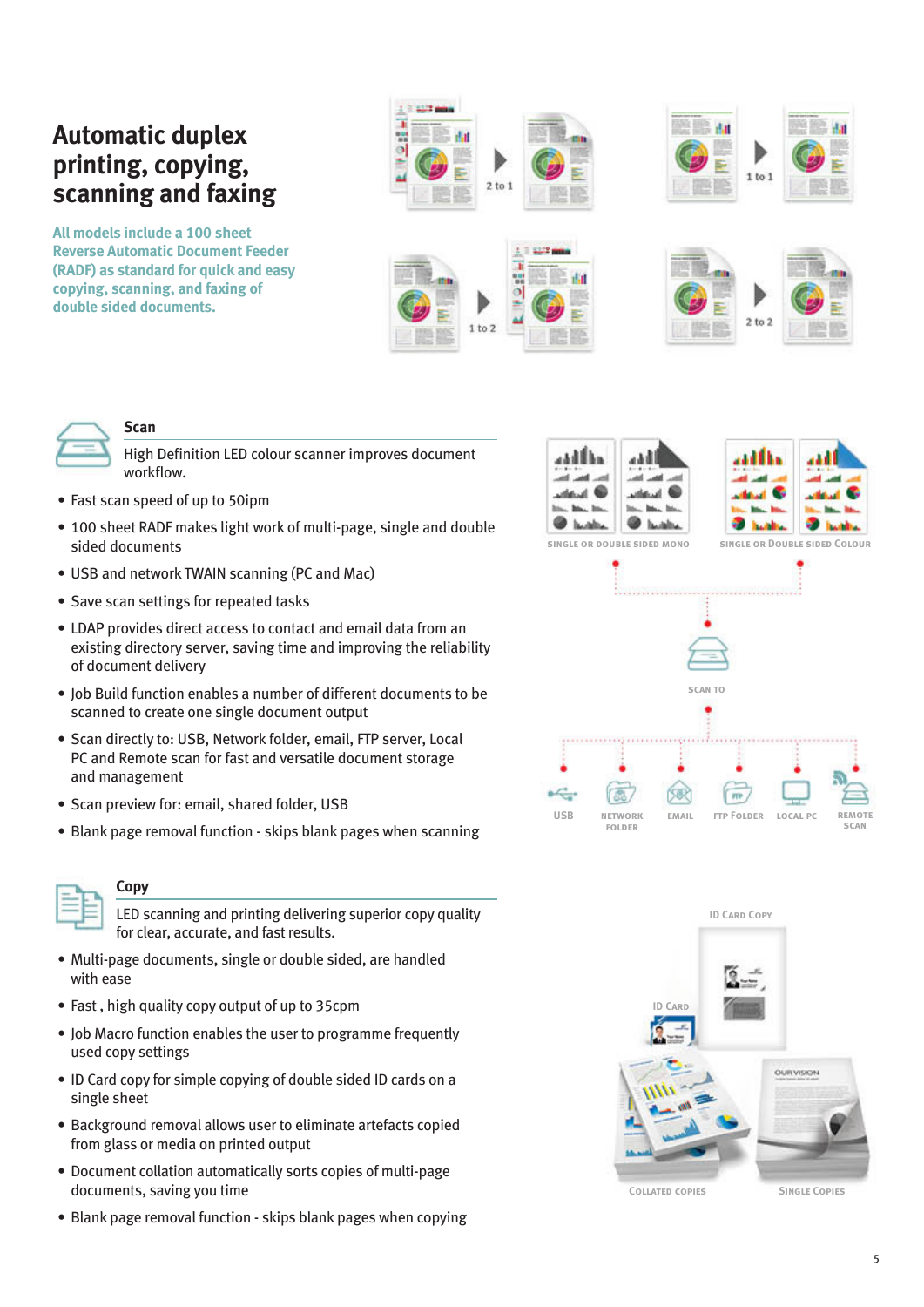# **Automatic duplex printing, copying, scanning and faxing**

**All models include a 100 sheet Reverse Automatic Document Feeder (RADF) as standard for quick and easy copying, scanning, and faxing of double sided documents.**



 $1 to 2$ 



### **Scan**

High Definition LED colour scanner improves document workflow.

- Fast scan speed of up to 50ipm
- 100 sheet RADF makes light work of multi-page, single and double sided documents
- USB and network TWAIN scanning (PC and Mac)
- Save scan settings for repeated tasks
- LDAP provides direct access to contact and email data from an existing directory server, saving time and improving the reliability of document delivery
- Job Build function enables a number of different documents to be scanned to create one single document output
- Scan directly to: USB, Network folder, email, FTP server, Local PC and Remote scan for fast and versatile document storage and management
- Scan preview for: email, shared folder, USB
- Blank page removal function skips blank pages when scanning



# **Copy**

LED scanning and printing delivering superior copy quality for clear, accurate, and fast results.

- Multi-page documents, single or double sided, are handled with ease
- Fast , high quality copy output of up to 35cpm
- Job Macro function enables the user to programme frequently used copy settings
- ID Card copy for simple copying of double sided ID cards on a single sheet
- Background removal allows user to eliminate artefacts copied from glass or media on printed output
- Document collation automatically sorts copies of multi-page documents, saving you time
- Blank page removal function skips blank pages when copying



 $2 to 2$ 



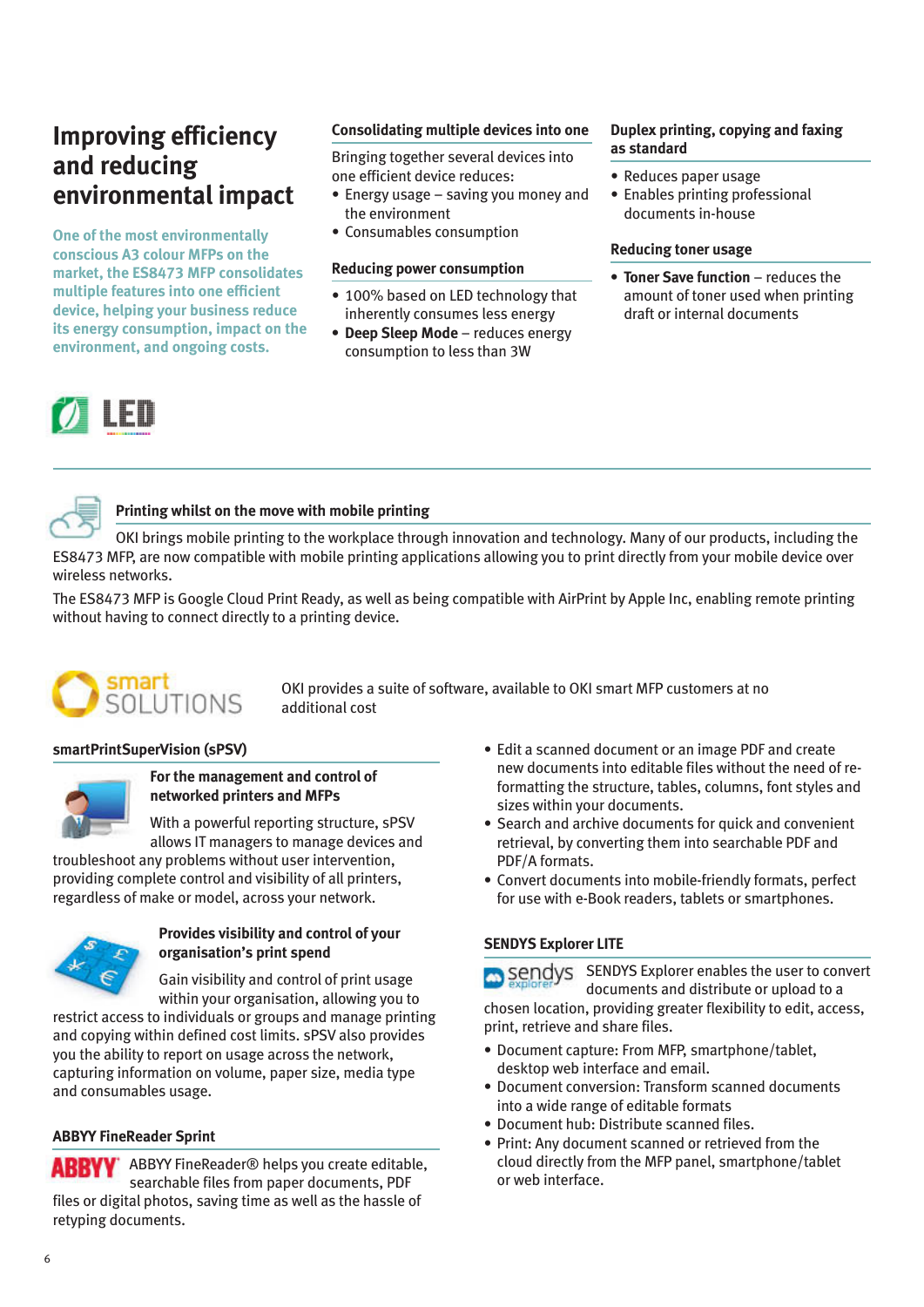# **Improving efficiency and reducing environmental impact**

**One of the most environmentally conscious A3 colour MFPs on the market, the ES8473 MFP consolidates multiple features into one efficient device, helping your business reduce its energy consumption, impact on the environment, and ongoing costs.**

# **Consolidating multiple devices into one**

Bringing together several devices into one efficient device reduces:

- Energy usage saving you money and the environment
- Consumables consumption

# **Reducing power consumption**

- 100% based on LED technology that inherently consumes less energy
- **• Deep Sleep Mode** reduces energy consumption to less than 3W

# **Duplex printing, copying and faxing as standard**

- Reduces paper usage
- Enables printing professional documents in-house

### **Reducing toner usage**

**• Toner Save function** – reduces the amount of toner used when printing draft or internal documents



# **Printing whilst on the move with mobile printing**

OKI brings mobile printing to the workplace through innovation and technology. Many of our products, including the ES8473 MFP, are now compatible with mobile printing applications allowing you to print directly from your mobile device over wireless networks.

The ES8473 MFP is Google Cloud Print Ready, as well as being compatible with AirPrint by Apple Inc, enabling remote printing without having to connect directly to a printing device.



OKI provides a suite of software, available to OKI smart MFP customers at no additional cost

# **smartPrintSuperVision (sPSV)**



### **For the management and control of networked printers and MFPs**

With a powerful reporting structure, sPSV allows IT managers to manage devices and

troubleshoot any problems without user intervention, providing complete control and visibility of all printers, regardless of make or model, across your network.



# **Provides visibility and control of your organisation's print spend**

Gain visibility and control of print usage within your organisation, allowing you to

restrict access to individuals or groups and manage printing and copying within defined cost limits. sPSV also provides you the ability to report on usage across the network, capturing information on volume, paper size, media type and consumables usage.

# **ABBYY FineReader Sprint**

**ABBYY** ABBYY FineReader<sup>®</sup> helps you create editable, searchable files from paper documents, PDF files or digital photos, saving time as well as the hassle of retyping documents.

- Edit a scanned document or an image PDF and create new documents into editable files without the need of reformatting the structure, tables, columns, font styles and sizes within your documents.
- Search and archive documents for quick and convenient retrieval, by converting them into searchable PDF and PDF/A formats.
- Convert documents into mobile-friendly formats, perfect for use with e-Book readers, tablets or smartphones.

# **SENDYS Explorer LITE**

Sendys SENDYS Explorer enables the user to convert documents and distribute or upload to a chosen location, providing greater flexibility to edit, access, print, retrieve and share files.

- Document capture: From MFP, smartphone/tablet, desktop web interface and email.
- Document conversion: Transform scanned documents into a wide range of editable formats
- Document hub: Distribute scanned files.
- Print: Any document scanned or retrieved from the cloud directly from the MFP panel, smartphone/tablet or web interface.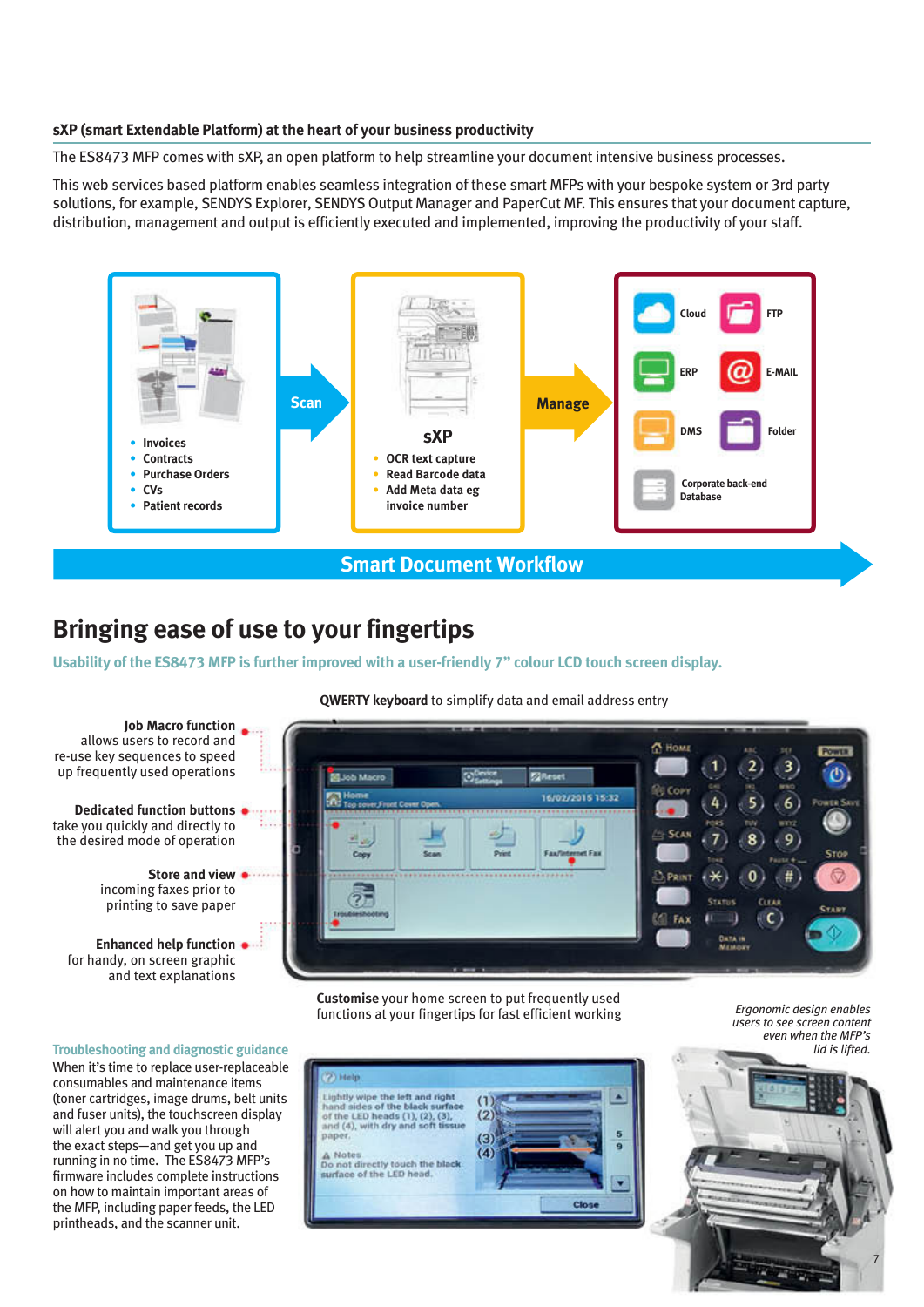### **sXP (smart Extendable Platform) at the heart of your business productivity**

The ES8473 MFP comes with sXP, an open platform to help streamline your document intensive business processes.

This web services based platform enables seamless integration of these smart MFPs with your bespoke system or 3rd party solutions, for example, SENDYS Explorer, SENDYS Output Manager and PaperCut MF. This ensures that your document capture, distribution, management and output is efficiently executed and implemented, improving the productivity of your staff.



# **Bringing ease of use to your fingertips**

**Usability of the ES8473 MFP is further improved with a user-friendly 7" colour LCD touch screen display.**

### **QWERTY keyboard** to simplify data and email address entry



**Customise** your home screen to put frequently used functions at your fingertips for fast efficient working

*Ergonomic design enables users to see screen content even when the MFP's lid is lifted.*

7



**Troubleshooting and diagnostic guidance**

When it's time to replace user-replaceable consumables and maintenance items (toner cartridges, image drums, belt units and fuser units), the touchscreen display will alert you and walk you through the exact steps—and get you up and running in no time. The ES8473 MFP's firmware includes complete instructions on how to maintain important areas of the MFP, including paper feeds, the LED printheads, and the scanner unit.